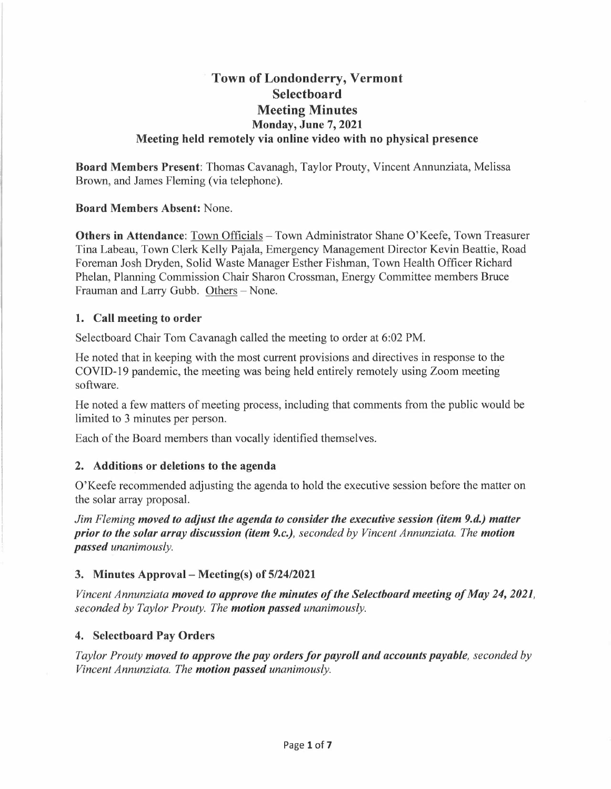# **Town of Londonderry, Vermont Selectboard Meeting Minutes Monday, June 7, 2021 Meeting held remotely via online video with no physical presence**

**Board Members Present:** Thomas Cavanagh, Taylor Prouty, Vincent Annunziata, Melissa Brown, and James Fleming (via telephone).

**Board Members Absent:** None.

**Others in Attendance:** Town Officials - Town Administrator Shane O'Keefe, Town Treasurer Tina Labeau, Town Clerk Kelly Pajala, Emergency Management Director Kevin Beattie, Road Foreman Josh Dryden, Solid Waste Manager Esther Fishman, Town Health Officer Richard Phelan, Planning Commission Chair Sharon Crossman, Energy Committee members Bruce Frauman and Larry Gubb. Others - None.

### **1. Call meeting to order**

Selectboard Chair Tom Cavanagh called the meeting to order at 6:02 PM.

He noted that in keeping with the most current provisions and directives in response to the COVID-19 pandemic, the meeting was being held entirely remotely using Zoom meeting software.

He noted a few matters of meeting process, including that comments from the public would be limited to 3 minutes per person.

Each of the Board members than vocally identified themselves.

### **2. Additions or deletions to the agenda**

O'Keefe recommended adjusting the agenda to hold the executive session before the matter on the solar array proposal.

*Jim Fleming moved to adjust the agenda to consider the executive session (item 9.d.) matter prior to the solar array discussion (item 9.c.), seconded by Vincent Annunziata. The motion passed unanimously.* 

### **3. Minutes Approval- Meeting(s) of 5/24/2021**

*Vincent Annunziata moved to approve the minutes of the Selectboard meeting of May 24, 2021, seconded by Taylor Prouty. The motion passed unanimously.* 

### **4. Selectboard Pay Orders**

*Taylor Prouty moved to approve the pay orders for payroll and accounts payable, seconded by Vincent Annunziata. The motion passed unanimously.*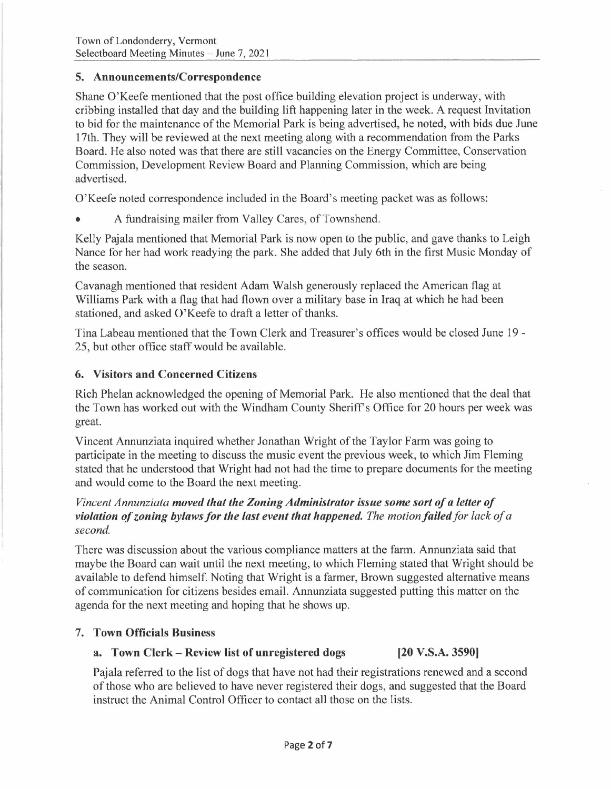### **5. Announcements/Correspondence**

Shane O'Keefe mentioned that the post office building elevation project is underway, with cribbing installed that day and the building lift happening later in the week. A request Invitation to bid for the maintenance of the Memorial Park is being advertised, he noted, with bids due June 17th. They will be reviewed at the next meeting along with a recommendation from the Parks Board. He also noted was that there are still vacancies on the Energy Committee, Conservation Commission, Development Review Board and Planning Commission, which are being advertised.

O'Keefe noted correspondence included in the Board's meeting packet was as follows:

• A fundraising mailer from Valley Cares, of Townshend.

Kelly Pajala mentioned that Memorial Park is now open to the public, and gave thanks to Leigh Nance for her had work readying the park. She added that July 6th in the first Music Monday of the season.

Cavanagh mentioned that resident Adam Walsh generously replaced the American flag at Williams Park with a flag that had flown over a military base in Iraq at which he had been stationed, and asked O'Keefe to draft a letter of thanks.

Tina Labeau mentioned that the Town Clerk and Treasurer's offices would be closed June 19 - 25, but other office staff would be available.

## **6. Visitors and Concerned Citizens**

Rich Phelan acknowledged the opening of Memorial Park. He also mentioned that the deal that the Town has worked out with the Windham County Sheriff's Office for 20 hours per week was great.

Vincent Annunziata inquired whether Jonathan Wright of the Taylor Farm was going to participate in the meeting to discuss the music event the previous week, to which Jim Fleming stated that he understood that Wright had not had the time to prepare documents for the meeting and would come to the Board the next meeting.

## *Vincent Annunziata moved that the Zoning Administrator issue some sort of a letter of violation of zoning bylaws for the last event that happened. The motion failed for lack of a second.*

There was discussion about the various compliance matters at the farm. Annunziata said that maybe the Board can wait until the next meeting, to which Fleming stated that Wright should be available to defend himself. Noting that Wright is a farmer, Brown suggested alternative means of communication for citizens besides email. Annunziata suggested putting this matter on the agenda for the next meeting and hoping that he shows up.

## **7. Town Officials Business**

## **a. Town Clerk - Review list of unregistered dogs [20 V.S.A. 3590]**

Pajala referred to the list of dogs that have not had their registrations renewed and a second of those who are believed to have never registered their dogs, and suggested that the Board instruct the Animal Control Officer to contact all those on the lists.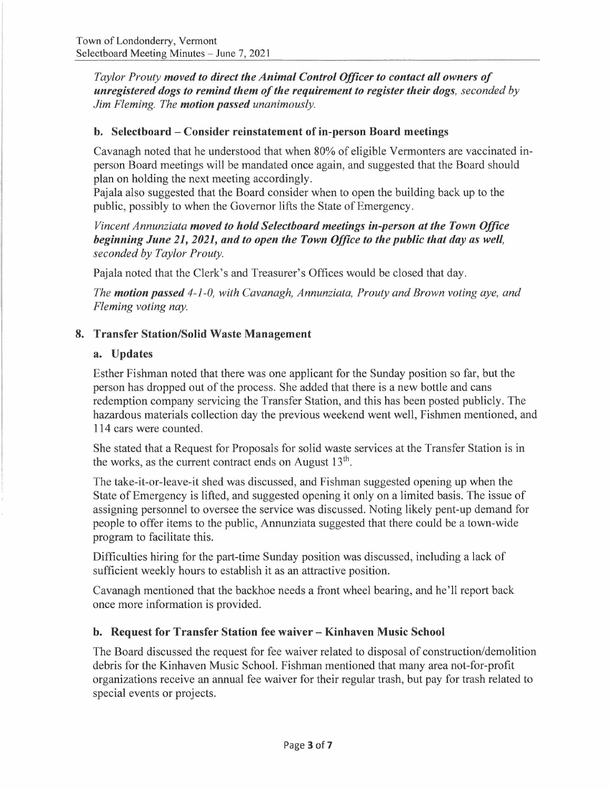*Taylor Prouty moved to direct the Animal Control Officer to contact all owners of unregistered dogs to remind them of the requirement to register their dogs, seconded by Jim Fleming. The motion passed unanimously.* 

## **b. Selectboard - Consider reinstatement of in-person Board meetings**

Cavanagh noted that he understood that when 80% of eligible Vermonters are vaccinated inperson Board meetings will be mandated once again, and suggested that the Board should plan on holding the next meeting accordingly.

Pajala also suggested that the Board consider when to open the building back up to the public, possibly to when the Governor lifts the State of Emergency.

*Vincent Annunziata moved to hold Selectboard meetings in-person at the Town Office beginning June 21, 2021, and to open the Town Office to the public that day as well, seconded by Taylor Prouty.* 

Pajala noted that the Clerk's and Treasurer's Offices would be closed that day.

*The motion passed 4-1-0, with Cavanagh, Annunziata, Prouty and Brown voting aye, and Fleming voting nay.* 

## **8. Transfer Station/Solid Waste Management**

## **a. Updates**

Esther Fishman noted that there was one applicant for the Sunday position so far, but the person has dropped out of the process. She added that there is a new bottle and cans redemption company servicing the Transfer Station, and this has been posted publicly. The hazardous materials collection day the previous weekend went well, Fishmen mentioned, and 114 cars were counted.

She stated that a Request for Proposals for solid waste services at the Transfer Station is in the works, as the current contract ends on August  $13<sup>th</sup>$ .

The take-it-or-leave-it shed was discussed, and Fishman suggested opening up when the State of Emergency is lifted, and suggested opening it only on a limited basis. The issue of assigning personnel to oversee the service was discussed. Noting likely pent-up demand for people to offer items to the public, Annunziata suggested that there could be a town-wide program to facilitate this.

Difficulties hiring for the part-time Sunday position was discussed, including a lack of sufficient weekly hours to establish it as an attractive position.

Cavanagh mentioned that the backhoe needs a front wheel bearing, and he'll report back once more information is provided.

## **b. Request for Transfer Station fee waiver - Kinhaven Music School**

The Board discussed the request for fee waiver related to disposal of construction/demolition debris for the Kinhaven Music School. Fishman mentioned that many area not-for-profit organizations receive an annual fee waiver for their regular trash, but pay for trash related to special events or projects.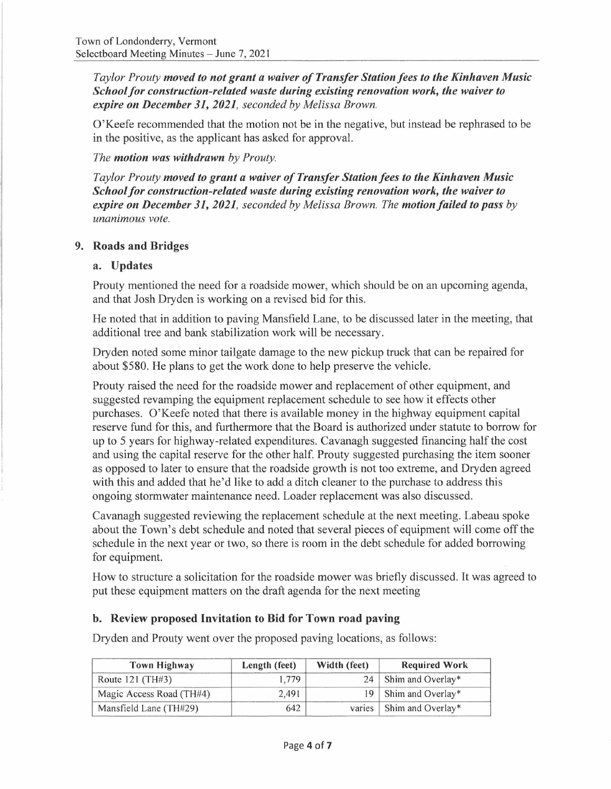*Taylor Prouty moved to not grant a waiver of Transfer Station fees to the Kinhaven Music School for construction-related waste during existing renovation work, the waiver to expire on December 31, 2021, seconded by Melissa Brown.* 

O'Keefe recommended that the motion not be in the negative, but instead be rephrased to be in the positive, as the applicant has asked for approval.

*The motion was withdrawn by Prouty.* 

*Taylor Prouty moved to grant a waiver of Transfer Station fees to the Kinhaven Music School for construction-related waste during existing renovation work, the waiver to expire on December 31, 2021, seconded by Melissa Brown. The motion/ailed to pass by unanimous vote.* 

## **9. Roads and Bridges**

### **a. Updates**

Prouty mentioned the need for a roadside mower, which should be on an upcoming agenda, and that Josh Dryden is working on a revised bid for this.

He noted that in addition to paving Mansfield Lane, to be discussed later in the meeting, that additional tree and bank stabilization work will be necessary.

Dryden noted some minor tailgate damage to the new pickup truck that can be repaired for about \$580. He plans to get the work done to help preserve the vehicle.

Prouty raised the need for the roadside mower and replacement of other equipment, and suggested revamping the equipment replacement schedule to see how it effects other purchases. O'Keefe noted that there is available money in the highway equipment capital reserve fund for this, and furthermore that the Board is authorized under statute to borrow for up to 5 years for highway-related expenditures. Cavanagh suggested financing half the cost and using the capital reserve for the other half. Prouty suggested purchasing the item sooner as opposed to later to ensure that the roadside growth is not too extreme, and Dryden agreed with this and added that he'd like to add a ditch cleaner to the purchase to address this ongoing stormwater maintenance need. Loader replacement was also discussed.

Cavanagh suggested reviewing the replacement schedule at the next meeting. Labeau spoke about the Town's debt schedule and noted that several pieces of equipment will come off the schedule in the next year or two, so there is room in the debt schedule for added borrowing for equipment.

How to structure a solicitation for the roadside mower was briefly discussed. It was agreed to put these equipment matters on the draft agenda for the next meeting

### **b. Review proposed Invitation to Bid for Town road paving**

Dryden and Prouty went over the proposed paving locations, as follows:

| <b>Town Highway</b>      | Length (feet) | Width (feet) | <b>Required Work</b>       |
|--------------------------|---------------|--------------|----------------------------|
| Route $121$ (TH#3)       | .779          |              | 24   Shim and Overlay*     |
| Magic Access Road (TH#4) | 2.491         |              | 19   Shim and Overlay*     |
| Mansfield Lane (TH#29)   | 642           |              | varies   Shim and Overlay* |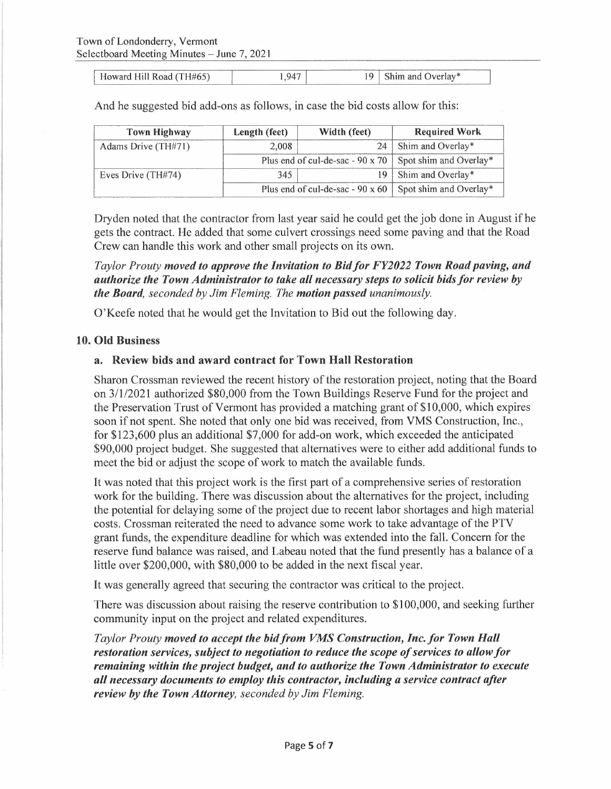Howard Hill Road (TH#65)  $1,947$  1,947 19 Shim and Overlay\*

And he suggested bid add-ons as follows, in case the bid costs allow for this:

| <b>Town Highway</b> | Length (feet) | Width (feet)                            | <b>Required Work</b>   |
|---------------------|---------------|-----------------------------------------|------------------------|
| Adams Drive (TH#71) | 2.008         | 24                                      | Shim and Overlay*      |
|                     |               | Plus end of cul-de-sac - $90 \times 70$ | Spot shim and Overlay* |
| Eves Drive (TH#74)  | 345           | $\overline{19}$                         | Shim and Overlay*      |
|                     |               | Plus end of cul-de-sac - 90 x 60        | Spot shim and Overlay* |

Dryden noted that the contractor from last year said he could get the job done in August if he gets the contract. He added that some culvert crossings need some paving and that the Road Crew can handle this work and other small projects on its own.

*Taylor Prouty moved to approve the Invitation to Bid/or FY2022 Town Road paving, and authorize the Town Administrator to take all necessary steps to solicit bids for review by the Board, seconded by Jim Fleming. The motion passed unanimously.* 

O'Keefe noted that he would get the Invitation to Bid out the following day.

#### **10. Old Business**

#### **a. Review bids and award contract for Town Hall Restoration**

Sharon Crossman reviewed the recent history of the restoration project, noting that the Board on 3/1/2021 authorized \$80,000 from the Town Buildings Reserve Fund for the project and the Preservation Trust of Vermont has provided a matching grant of \$10,000, which expires soon if not spent. She noted that only one bid was received, from VMS Construction, Inc., for \$123,600 plus an additional \$7,000 for add-on work, which exceeded the anticipated \$90,000 project budget. She suggested that alternatives were to either add additional funds to meet the bid or adjust the scope of work to match the available funds.

It was noted that this project work is the first part of a comprehensive series of restoration work for the building. There was discussion about the alternatives for the project, including the potential for delaying some of the project due to recent labor shortages and high material costs. Crossman reiterated the need to advance some work to take advantage of the PTV grant funds, the expenditure deadline for which was extended into the fall. Concern for the reserve fund balance was raised, and Labeau noted that the fund presently has a balance of a little over \$200,000, with \$80,000 to be added in the next fiscal year.

It was generally agreed that securing the contractor was critical to the project.

There was discussion about raising the reserve contribution to \$100,000, and seeking further community input on the project and related expenditures.

*Taylor Prouty moved to accept the bid from VMS Construction, Inc.for Town Hall restoration services, subject to negotiation to reduce the scope of services to allow for remaining within the project budget, and to authorize the Town Administrator to execute all necessary documents to employ this contractor, including a service contract after review by the Town Attorney, seconded by Jim Fleming.*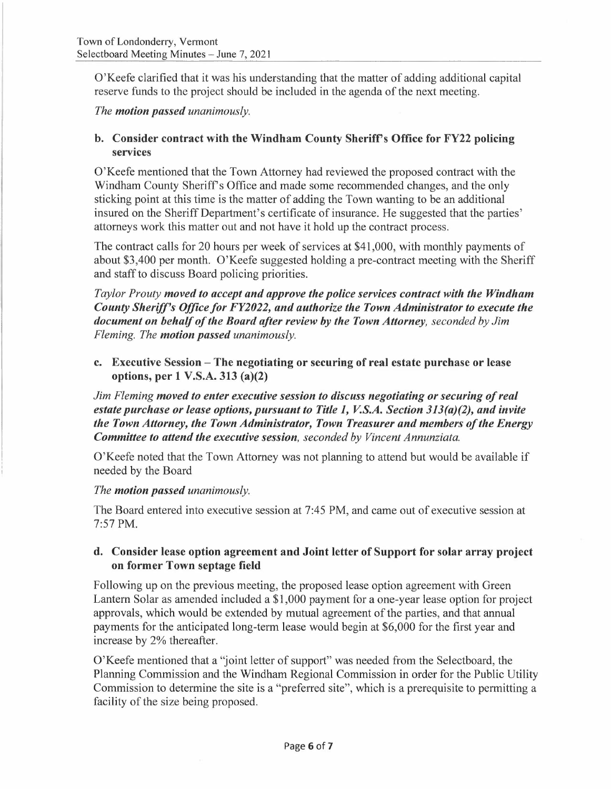O'Keefe clarified that it was his understanding that the matter of adding additional capital reserve funds to the project should be included in the agenda of the next meeting.

*The motion passed unanimously.* 

## **b. Consider contract with the Windham County Sheriff's Office for FY22 policing services**

O'Keefe mentioned that the Town Attorney had reviewed the proposed contract with the Windham County Sheriffs Office and made some recommended changes, and the only sticking point at this time is the matter of adding the Town wanting to be an additional insured on the Sheriff Department's certificate of insurance. He suggested that the parties' attorneys work this matter out and not have it hold up the contract process.

The contract calls for 20 hours per week of services at \$41,000, with monthly payments of about \$3,400 per month. O'Keefe suggested holding a pre-contract meeting with the Sheriff and staff to discuss Board policing priorities.

*Taylor Prouty moved to accept and approve the police services contract with the Windham County Sherif's Office for FY2022, and authorize the Town Administrator to execute the document on behalf of the Board after review by the Town Attorney, seconded by Jim Fleming. The motion passed unanimously.* 

**c. Executive Session - The negotiating or securing of real estate purchase or lease options, per 1 V.S.A. 313 (a)(2)** 

*Jim Fleming moved to enter executive session to discuss negotiating or securing of real estate purchase or lease options, pursuant to Title 1, V.S.A. Section 313(a)(2), and invite the Town Attorney, the Town Administrator, Town Treasurer and members of the Energy Committee to attend the executive session, seconded by Vincent Annunziata.* 

O'Keefe noted that the Town Attorney was not planning to attend but would be available if needed by the Board

### *The motion passed unanimously.*

The Board entered into executive session at 7:45 PM, and came out of executive session at 7:57 PM.

## **d. Consider lease option agreement and Joint letter of Support for solar array project on former Town septage field**

Following up on the previous meeting, the proposed lease option agreement with Green Lantern Solar as amended included a \$1,000 payment for a one-year lease option for project approvals, which would be extended by mutual agreement of the parties, and that annual payments for the anticipated long-term lease would begin at \$6,000 for the first year and increase by 2% thereafter.

O'Keefe mentioned that a "joint letter of support" was needed from the Selectboard, the Planning Commission and the Windham Regional Commission in order for the Public Utility Commission to determine the site is a "preferred site", which is a prerequisite to permitting a facility of the size being proposed.